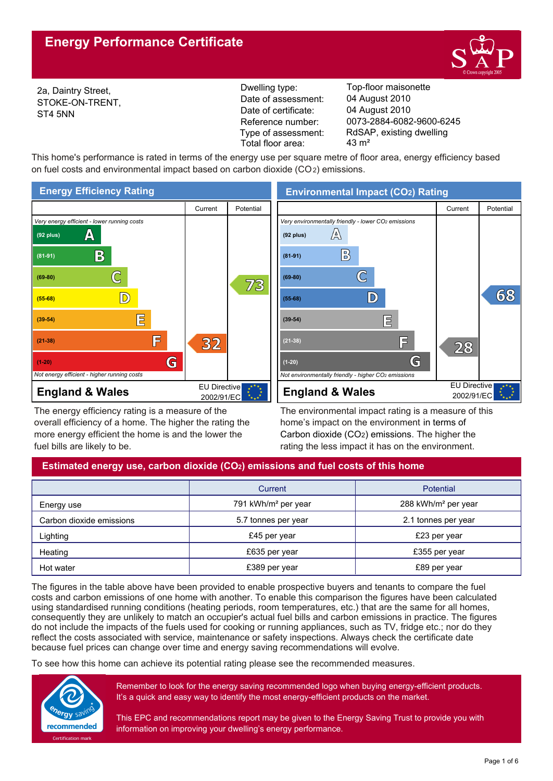

2a, Daintry Street, STOKE-ON-TRENT, ST4 5NN

Reference number: Date of certificate: Date of assessment: Type of assessment: Total floor area: 43 m<sup>2</sup>

Dwelling type: Top-floor maisonette 0073-2884-6082-9600-6245 04 August 2010 04 August 2010 RdSAP, existing dwelling

This home's performance is rated in terms of the energy use per square metre of floor area, energy efficiency based on fuel costs and environmental impact based on carbon dioxide (CO2) emissions.



The energy efficiency rating is a measure of the overall efficiency of a home. The higher the rating the more energy efficient the home is and the lower the fuel bills are likely to be.

**Environmental Impact (CO2) Rating**



The environmental impact rating is a measure of this home's impact on the environment in terms of Carbon dioxide (CO2) emissions. The higher the rating the less impact it has on the environment.

# **Estimated energy use, carbon dioxide (CO2) emissions and fuel costs of this home**

|                          | Current                         | Potential                       |
|--------------------------|---------------------------------|---------------------------------|
| Energy use               | 791 kWh/m <sup>2</sup> per year | 288 kWh/m <sup>2</sup> per year |
| Carbon dioxide emissions | 5.7 tonnes per year             | 2.1 tonnes per year             |
| Lighting                 | £45 per year                    | £23 per year                    |
| Heating                  | £635 per year                   | £355 per year                   |
| Hot water                | £389 per year                   | £89 per year                    |

The figures in the table above have been provided to enable prospective buyers and tenants to compare the fuel costs and carbon emissions of one home with another. To enable this comparison the figures have been calculated using standardised running conditions (heating periods, room temperatures, etc.) that are the same for all homes, consequently they are unlikely to match an occupier's actual fuel bills and carbon emissions in practice. The figures do not include the impacts of the fuels used for cooking or running appliances, such as TV, fridge etc.; nor do they reflect the costs associated with service, maintenance or safety inspections. Always check the certificate date because fuel prices can change over time and energy saving recommendations will evolve.

To see how this home can achieve its potential rating please see the recommended measures.



Remember to look for the energy saving recommended logo when buying energy-efficient products. It's a quick and easy way to identify the most energy-efficient products on the market.

This EPC and recommendations report may be given to the Energy Saving Trust to provide you with information on improving your dwelling's energy performance.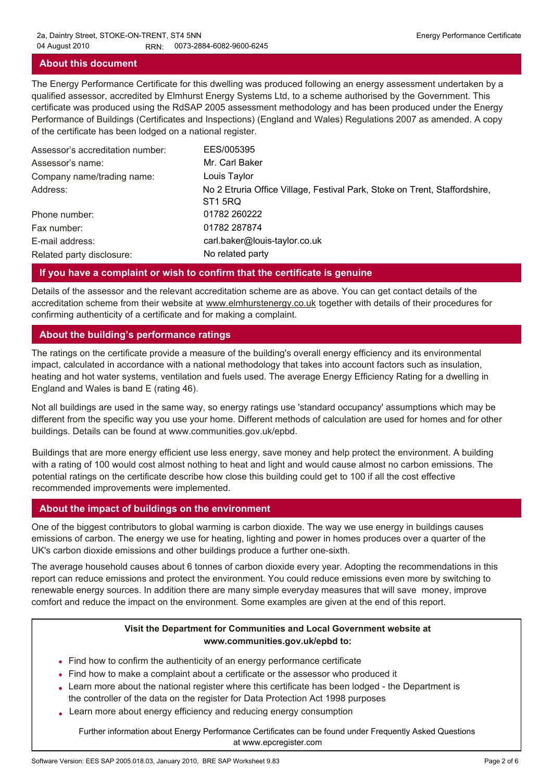### **About this document**

The Energy Performance Certificate for this dwelling was produced following an energy assessment undertaken by a qualified assessor, accredited by Elmhurst Energy Systems Ltd, to a scheme authorised by the Government. This certificate was produced using the RdSAP 2005 assessment methodology and has been produced under the Energy Performance of Buildings (Certificates and Inspections) (England and Wales) Regulations 2007 as amended. A copy of the certificate has been lodged on a national register.

| Assessor's accreditation number: | EES/005395                                                                                        |
|----------------------------------|---------------------------------------------------------------------------------------------------|
| Assessor's name:                 | Mr. Carl Baker                                                                                    |
| Company name/trading name:       | Louis Taylor                                                                                      |
| Address:                         | No 2 Etruria Office Village, Festival Park, Stoke on Trent, Staffordshire,<br>ST <sub>1</sub> 5RQ |
| Phone number:                    | 01782 260222                                                                                      |
| Fax number:                      | 01782 287874                                                                                      |
| E-mail address:                  | carl.baker@louis-taylor.co.uk                                                                     |
| Related party disclosure:        | No related party                                                                                  |

#### **If you have a complaint or wish to confirm that the certificate is genuine**

Details of the assessor and the relevant accreditation scheme are as above. You can get contact details of the accreditation scheme from their website at www.elmhurstenergy.co.uk together with details of their procedures for confirming authenticity of a certificate and for making a complaint.

### **About the building's performance ratings**

The ratings on the certificate provide a measure of the building's overall energy efficiency and its environmental impact, calculated in accordance with a national methodology that takes into account factors such as insulation, heating and hot water systems, ventilation and fuels used. The average Energy Efficiency Rating for a dwelling in England and Wales is band E (rating 46).

Not all buildings are used in the same way, so energy ratings use 'standard occupancy' assumptions which may be different from the specific way you use your home. Different methods of calculation are used for homes and for other buildings. Details can be found at www.communities.gov.uk/epbd.

Buildings that are more energy efficient use less energy, save money and help protect the environment. A building with a rating of 100 would cost almost nothing to heat and light and would cause almost no carbon emissions. The potential ratings on the certificate describe how close this building could get to 100 if all the cost effective recommended improvements were implemented.

#### **About the impact of buildings on the environment**

One of the biggest contributors to global warming is carbon dioxide. The way we use energy in buildings causes emissions of carbon. The energy we use for heating, lighting and power in homes produces over a quarter of the UK's carbon dioxide emissions and other buildings produce a further one-sixth.

The average household causes about 6 tonnes of carbon dioxide every year. Adopting the recommendations in this report can reduce emissions and protect the environment. You could reduce emissions even more by switching to renewable energy sources. In addition there are many simple everyday measures that will save money, improve comfort and reduce the impact on the environment. Some examples are given at the end of this report.

### **Visit the Department for Communities and Local Government website at www.communities.gov.uk/epbd to:**

- Find how to confirm the authenticity of an energy performance certificate •
- Find how to make a complaint about a certificate or the assessor who produced it •
- Learn more about the national register where this certificate has been lodged the Department is the controller of the data on the register for Data Protection Act 1998 purposes
- Learn more about energy efficiency and reducing energy consumption •

Further information about Energy Performance Certificates can be found under Frequently Asked Questions at www.epcregister.com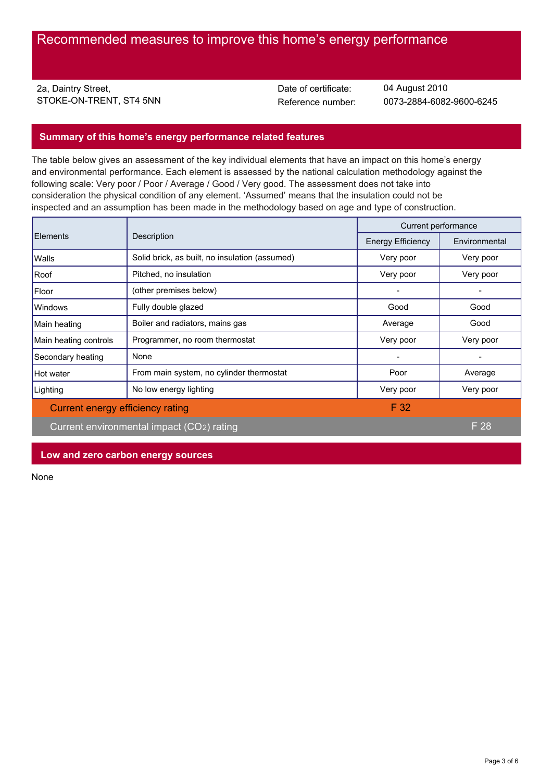2a, Daintry Street, STOKE-ON-TRENT, ST4 5NN<br>
Reference number:

Date of certificate:

0073-2884-6082-9600-6245 04 August 2010

## **Summary of this home's energy performance related features**

The table below gives an assessment of the key individual elements that have an impact on this home's energy and environmental performance. Each element is assessed by the national calculation methodology against the following scale: Very poor / Poor / Average / Good / Very good. The assessment does not take into consideration the physical condition of any element. 'Assumed' means that the insulation could not be inspected and an assumption has been made in the methodology based on age and type of construction.

|                                  | Description                                    | Current performance      |               |
|----------------------------------|------------------------------------------------|--------------------------|---------------|
| <b>Elements</b>                  |                                                | <b>Energy Efficiency</b> | Environmental |
| Walls                            | Solid brick, as built, no insulation (assumed) | Very poor                | Very poor     |
| Roof                             | Pitched, no insulation                         | Very poor                | Very poor     |
| Floor                            | (other premises below)                         |                          |               |
| Windows                          | Fully double glazed                            | Good                     | Good          |
| Main heating                     | Boiler and radiators, mains gas                | Average                  | Good          |
| Main heating controls            | Programmer, no room thermostat                 | Very poor                | Very poor     |
| Secondary heating                | None                                           |                          |               |
| Hot water                        | From main system, no cylinder thermostat       | Poor                     | Average       |
| Lighting                         | No low energy lighting                         | Very poor                | Very poor     |
| Current energy efficiency rating |                                                | F 32                     |               |
|                                  | Current environmental impact (CO2) rating      |                          | F 28          |

**Low and zero carbon energy sources**

None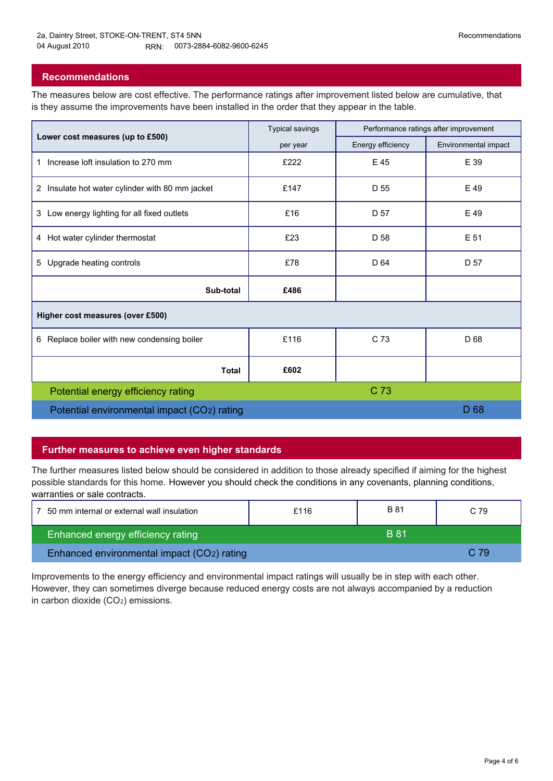## **Recommendations**

The measures below are cost effective. The performance ratings after improvement listed below are cumulative, that is they assume the improvements have been installed in the order that they appear in the table.

|                                                    | <b>Typical savings</b> | Performance ratings after improvement |                      |  |
|----------------------------------------------------|------------------------|---------------------------------------|----------------------|--|
| Lower cost measures (up to £500)                   | per year               | Energy efficiency                     | Environmental impact |  |
| Increase loft insulation to 270 mm<br>$\mathbf{1}$ | £222                   | E 45                                  | E 39                 |  |
| 2 Insulate hot water cylinder with 80 mm jacket    | £147                   | D 55                                  | E 49                 |  |
| 3 Low energy lighting for all fixed outlets        | £16                    | D 57                                  | E 49                 |  |
| 4 Hot water cylinder thermostat                    | £23                    | D 58                                  | E 51                 |  |
| Upgrade heating controls<br>5                      | £78                    | D 64                                  | D 57                 |  |
| Sub-total                                          | £486                   |                                       |                      |  |
| Higher cost measures (over £500)                   |                        |                                       |                      |  |
| 6 Replace boiler with new condensing boiler        | £116                   | C 73                                  | D 68                 |  |
| <b>Total</b>                                       | £602                   |                                       |                      |  |
| Potential energy efficiency rating                 |                        | C 73                                  |                      |  |
| Potential environmental impact (CO2) rating        |                        |                                       | D <sub>68</sub>      |  |

## **Further measures to achieve even higher standards**

The further measures listed below should be considered in addition to those already specified if aiming for the highest possible standards for this home. However you should check the conditions in any covenants, planning conditions, warranties or sale contracts.

| 7 50 mm internal or external wall insulation | £116 | B 81  | C 79 |  |
|----------------------------------------------|------|-------|------|--|
| Enhanced energy efficiency rating            |      | 'B 81 |      |  |
| Enhanced environmental impact (CO2) rating   |      |       | C 79 |  |

Improvements to the energy efficiency and environmental impact ratings will usually be in step with each other. However, they can sometimes diverge because reduced energy costs are not always accompanied by a reduction in carbon dioxide (CO2) emissions.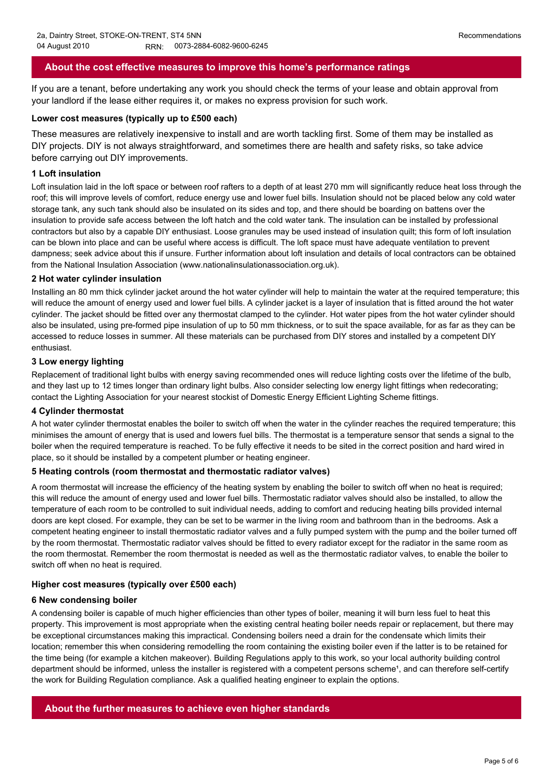## **About the cost effective measures to improve this home's performance ratings**

If you are a tenant, before undertaking any work you should check the terms of your lease and obtain approval from your landlord if the lease either requires it, or makes no express provision for such work.

#### **Lower cost measures (typically up to £500 each)**

These measures are relatively inexpensive to install and are worth tackling first. Some of them may be installed as DIY projects. DIY is not always straightforward, and sometimes there are health and safety risks, so take advice before carrying out DIY improvements.

#### **1 Loft insulation**

Loft insulation laid in the loft space or between roof rafters to a depth of at least 270 mm will significantly reduce heat loss through the roof; this will improve levels of comfort, reduce energy use and lower fuel bills. Insulation should not be placed below any cold water storage tank, any such tank should also be insulated on its sides and top, and there should be boarding on battens over the insulation to provide safe access between the loft hatch and the cold water tank. The insulation can be installed by professional contractors but also by a capable DIY enthusiast. Loose granules may be used instead of insulation quilt; this form of loft insulation can be blown into place and can be useful where access is difficult. The loft space must have adequate ventilation to prevent dampness; seek advice about this if unsure. Further information about loft insulation and details of local contractors can be obtained from the National Insulation Association (www.nationalinsulationassociation.org.uk).

#### **2 Hot water cylinder insulation**

Installing an 80 mm thick cylinder jacket around the hot water cylinder will help to maintain the water at the required temperature; this will reduce the amount of energy used and lower fuel bills. A cylinder jacket is a layer of insulation that is fitted around the hot water cylinder. The jacket should be fitted over any thermostat clamped to the cylinder. Hot water pipes from the hot water cylinder should also be insulated, using pre-formed pipe insulation of up to 50 mm thickness, or to suit the space available, for as far as they can be accessed to reduce losses in summer. All these materials can be purchased from DIY stores and installed by a competent DIY enthusiast.

#### **3 Low energy lighting**

Replacement of traditional light bulbs with energy saving recommended ones will reduce lighting costs over the lifetime of the bulb, and they last up to 12 times longer than ordinary light bulbs. Also consider selecting low energy light fittings when redecorating; contact the Lighting Association for your nearest stockist of Domestic Energy Efficient Lighting Scheme fittings.

#### **4 Cylinder thermostat**

A hot water cylinder thermostat enables the boiler to switch off when the water in the cylinder reaches the required temperature; this minimises the amount of energy that is used and lowers fuel bills. The thermostat is a temperature sensor that sends a signal to the boiler when the required temperature is reached. To be fully effective it needs to be sited in the correct position and hard wired in place, so it should be installed by a competent plumber or heating engineer.

#### **5 Heating controls (room thermostat and thermostatic radiator valves)**

A room thermostat will increase the efficiency of the heating system by enabling the boiler to switch off when no heat is required; this will reduce the amount of energy used and lower fuel bills. Thermostatic radiator valves should also be installed, to allow the temperature of each room to be controlled to suit individual needs, adding to comfort and reducing heating bills provided internal doors are kept closed. For example, they can be set to be warmer in the living room and bathroom than in the bedrooms. Ask a competent heating engineer to install thermostatic radiator valves and a fully pumped system with the pump and the boiler turned off by the room thermostat. Thermostatic radiator valves should be fitted to every radiator except for the radiator in the same room as the room thermostat. Remember the room thermostat is needed as well as the thermostatic radiator valves, to enable the boiler to switch off when no heat is required.

#### **Higher cost measures (typically over £500 each)**

#### **6 New condensing boiler**

A condensing boiler is capable of much higher efficiencies than other types of boiler, meaning it will burn less fuel to heat this property. This improvement is most appropriate when the existing central heating boiler needs repair or replacement, but there may be exceptional circumstances making this impractical. Condensing boilers need a drain for the condensate which limits their location; remember this when considering remodelling the room containing the existing boiler even if the latter is to be retained for the time being (for example a kitchen makeover). Building Regulations apply to this work, so your local authority building control department should be informed, unless the installer is registered with a competent persons scheme<sup>1</sup>, and can therefore self-certify the work for Building Regulation compliance. Ask a qualified heating engineer to explain the options.